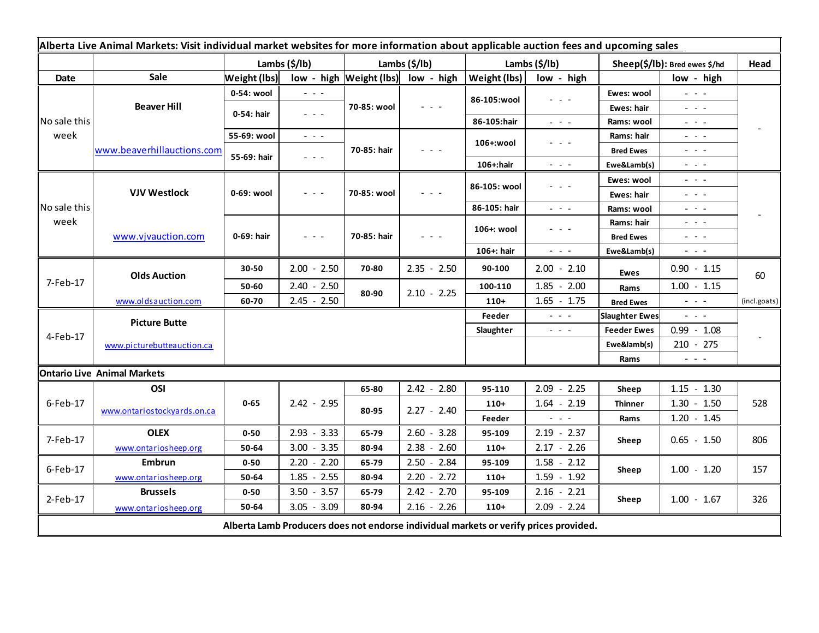|                                                                                       | Alberta Live Animal Markets: Visit individual market websites for more information about applicable auction fees and upcoming sales |                     |                         |                             |               |               |                                                                                                                           |                               |                                                                                                                           |              |
|---------------------------------------------------------------------------------------|-------------------------------------------------------------------------------------------------------------------------------------|---------------------|-------------------------|-----------------------------|---------------|---------------|---------------------------------------------------------------------------------------------------------------------------|-------------------------------|---------------------------------------------------------------------------------------------------------------------------|--------------|
|                                                                                       |                                                                                                                                     | Lambs (\$/lb)       |                         | Lambs (\$/lb)               |               | Lambs (\$/lb) |                                                                                                                           | Sheep(\$/lb): Bred ewes \$/hd |                                                                                                                           | Head         |
| Date                                                                                  | <b>Sale</b>                                                                                                                         | <b>Weight (lbs)</b> |                         | $low - high$   Weight (lbs) | low - high    | Weight (lbs)  | low - high                                                                                                                |                               | low - high                                                                                                                |              |
| No sale this<br>week                                                                  | <b>Beaver Hill</b>                                                                                                                  | 0-54: wool          | - - -                   | 70-85: wool                 |               |               |                                                                                                                           | Ewes: wool                    | $  -$                                                                                                                     |              |
|                                                                                       |                                                                                                                                     | 0-54: hair          | $  -$                   |                             |               | 86-105:wool   |                                                                                                                           | Ewes: hair                    | $  -$                                                                                                                     |              |
|                                                                                       |                                                                                                                                     |                     |                         |                             |               | 86-105:hair   | $\omega_{\rm{eff}}$ , $\omega_{\rm{eff}}$ , $\omega_{\rm{eff}}$                                                           | Rams: wool                    | $\omega_{\rm{eff}}$ and $\omega_{\rm{eff}}$                                                                               |              |
|                                                                                       | www.beaverhillauctions.com                                                                                                          | 55-69: wool         | $\omega_{\rm{eff}}=0.1$ | 70-85: hair                 |               | 106+:wool     |                                                                                                                           | Rams: hair                    | $  -$                                                                                                                     |              |
|                                                                                       |                                                                                                                                     | 55-69: hair         | $  -$                   |                             |               |               |                                                                                                                           | <b>Bred Ewes</b>              | $  -$                                                                                                                     |              |
|                                                                                       |                                                                                                                                     |                     |                         |                             |               | 106+:hair     | $\frac{1}{2} \left( \frac{1}{2} \right) \left( \frac{1}{2} \right) \left( \frac{1}{2} \right) \left( \frac{1}{2} \right)$ | Ewe&Lamb(s)                   | $\frac{1}{2} \left( \frac{1}{2} \right) \left( \frac{1}{2} \right) \left( \frac{1}{2} \right) \left( \frac{1}{2} \right)$ |              |
| No sale this<br>week                                                                  | <b>VJV Westlock</b>                                                                                                                 | 0-69: wool          | - - -                   | 70-85: wool                 |               | 86-105: wool  |                                                                                                                           | Ewes: wool                    | $  -$                                                                                                                     |              |
|                                                                                       |                                                                                                                                     |                     |                         |                             |               |               |                                                                                                                           | Ewes: hair                    | $  -$                                                                                                                     |              |
|                                                                                       |                                                                                                                                     |                     |                         |                             |               | 86-105: hair  | $\omega_{\rm{eff}}$ , $\omega_{\rm{eff}}$ , $\omega_{\rm{eff}}$                                                           | Rams: wool                    | $\sim$ 10 $\sim$ 10 $\sim$                                                                                                |              |
|                                                                                       | www.vjvauction.com                                                                                                                  | 0-69: hair          | - - -                   | 70-85: hair                 |               | 106+: wool    |                                                                                                                           | Rams: hair                    | $  -$                                                                                                                     |              |
|                                                                                       |                                                                                                                                     |                     |                         |                             |               |               |                                                                                                                           | <b>Bred Ewes</b>              | $  -$                                                                                                                     |              |
|                                                                                       |                                                                                                                                     |                     |                         |                             |               | 106+: hair    | $\frac{1}{2} \left( \frac{1}{2} \right) \left( \frac{1}{2} \right) \left( \frac{1}{2} \right) \left( \frac{1}{2} \right)$ | Ewe&Lamb(s)                   | $\frac{1}{2} \left( \frac{1}{2} \right) \left( \frac{1}{2} \right) \left( \frac{1}{2} \right) \left( \frac{1}{2} \right)$ |              |
| 7-Feb-17                                                                              | <b>Olds Auction</b>                                                                                                                 | 30-50               | $2.00 - 2.50$           | 70-80                       | $2.35 - 2.50$ | 90-100        | $2.00 - 2.10$                                                                                                             | <b>Ewes</b>                   | $0.90 - 1.15$                                                                                                             | 60           |
|                                                                                       |                                                                                                                                     | 50-60               | $2.40 - 2.50$           | 80-90                       | $2.10 - 2.25$ | 100-110       | $1.85 - 2.00$                                                                                                             | Rams                          | $1.00 - 1.15$                                                                                                             |              |
|                                                                                       | www.oldsauction.com                                                                                                                 | 60-70               | $2.45 - 2.50$           |                             |               | $110+$        | $1.65 - 1.75$                                                                                                             | <b>Bred Ewes</b>              | $\omega_{\rm{max}}$                                                                                                       | (incl.goats) |
| 4-Feb-17                                                                              | <b>Picture Butte</b>                                                                                                                |                     |                         |                             |               | Feeder        | $\omega_{\rm{c}}$ , $\omega_{\rm{c}}$ , $\omega_{\rm{c}}$                                                                 | <b>Slaughter Ewes</b>         | $\frac{1}{2} \left( \frac{1}{2} \right) \left( \frac{1}{2} \right) \left( \frac{1}{2} \right) \left( \frac{1}{2} \right)$ |              |
|                                                                                       |                                                                                                                                     |                     |                         |                             |               | Slaughter     | $  -$                                                                                                                     | <b>Feeder Ewes</b>            | $0.99 - 1.08$                                                                                                             |              |
|                                                                                       | www.picturebutteauction.ca                                                                                                          |                     |                         |                             |               |               |                                                                                                                           | Ewe&lamb(s)                   | $210 - 275$                                                                                                               |              |
|                                                                                       |                                                                                                                                     |                     |                         |                             |               |               |                                                                                                                           | Rams                          | $\frac{1}{2} \left( \frac{1}{2} \right) \frac{1}{2} \left( \frac{1}{2} \right) \frac{1}{2} \left( \frac{1}{2} \right)$    |              |
|                                                                                       | <b>Ontario Live Animal Markets</b>                                                                                                  |                     |                         |                             |               |               |                                                                                                                           |                               |                                                                                                                           |              |
| 6-Feb-17                                                                              | OSI                                                                                                                                 |                     |                         | 65-80                       | $2.42 - 2.80$ | 95-110        | $2.09 -$<br>2.25                                                                                                          | Sheep                         | $1.15 - 1.30$                                                                                                             |              |
|                                                                                       | www.ontariostockyards.on.ca                                                                                                         | $0 - 65$            | $2.42 - 2.95$           | 80-95                       | $2.27 - 2.40$ | $110+$        | $1.64 - 2.19$                                                                                                             | <b>Thinner</b>                | $1.30 - 1.50$                                                                                                             | 528          |
|                                                                                       |                                                                                                                                     |                     |                         |                             |               | Feeder        | $\frac{1}{2} \left( \frac{1}{2} \right) \left( \frac{1}{2} \right) \left( \frac{1}{2} \right) \left( \frac{1}{2} \right)$ | Rams                          | $1.20 - 1.45$                                                                                                             |              |
| 7-Feb-17                                                                              | <b>OLEX</b>                                                                                                                         | $0 - 50$            | $2.93 - 3.33$           | 65-79                       | $2.60 - 3.28$ | 95-109        | $2.19 - 2.37$                                                                                                             | Sheep                         | $0.65 - 1.50$                                                                                                             | 806          |
|                                                                                       | www.ontariosheep.org                                                                                                                | 50-64               | $3.00 - 3.35$           | 80-94                       | $2.38 - 2.60$ | $110+$        | $2.17 - 2.26$                                                                                                             |                               |                                                                                                                           |              |
| 6-Feb-17                                                                              | <b>Embrun</b>                                                                                                                       | $0 - 50$            | $2.20 - 2.20$           | 65-79                       | $2.50 - 2.84$ | 95-109        | $1.58 - 2.12$                                                                                                             | Sheep                         | $1.00 - 1.20$                                                                                                             | 157          |
|                                                                                       | www.ontariosheep.org                                                                                                                | 50-64               | $1.85 - 2.55$           | 80-94                       | $2.20 - 2.72$ | $110+$        | $1.59 - 1.92$                                                                                                             |                               |                                                                                                                           |              |
| $2$ -Feb-17                                                                           | <b>Brussels</b>                                                                                                                     | $0 - 50$            | $3.50 - 3.57$           | 65-79                       | $2.42 - 2.70$ | 95-109        | $2.16 - 2.21$                                                                                                             | Sheep                         | $1.00 - 1.67$                                                                                                             | 326          |
|                                                                                       | www.ontariosheep.org                                                                                                                | 50-64               | $3.05 - 3.09$           | 80-94                       | $2.16 - 2.26$ | $110+$        | $2.09 - 2.24$                                                                                                             |                               |                                                                                                                           |              |
| Alberta Lamb Producers does not endorse individual markets or verify prices provided. |                                                                                                                                     |                     |                         |                             |               |               |                                                                                                                           |                               |                                                                                                                           |              |